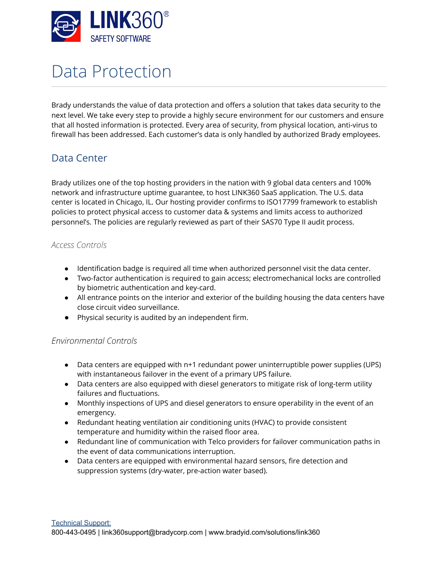

# Data Protection

Brady understands the value of data protection and offers a solution that takes data security to the next level. We take every step to provide a highly secure environment for our customers and ensure that all hosted information is protected. Every area of security, from physical location, anti-virus to firewall has been addressed. Each customer's data is only handled by authorized Brady employees.

# Data Center

Brady utilizes one of the top hosting providers in the nation with 9 global data centers and 100% network and infrastructure uptime guarantee, to host LINK360 SaaS application. The U.S. data center is located in Chicago, IL. Our hosting provider confirms to ISO17799 framework to establish policies to protect physical access to customer data & systems and limits access to authorized personnel's. The policies are regularly reviewed as part of their SAS70 Type II audit process.

#### *Access Controls*

- Identification badge is required all time when authorized personnel visit the data center.
- Two-factor authentication is required to gain access; electromechanical locks are controlled by biometric authentication and key-card.
- All entrance points on the interior and exterior of the building housing the data centers have close circuit video surveillance.
- Physical security is audited by an independent firm.

#### *Environmental Controls*

- Data centers are equipped with n+1 redundant power uninterruptible power supplies (UPS) with instantaneous failover in the event of a primary UPS failure.
- Data centers are also equipped with diesel generators to mitigate risk of long-term utility failures and fluctuations.
- Monthly inspections of UPS and diesel generators to ensure operability in the event of an emergency.
- Redundant heating ventilation air conditioning units (HVAC) to provide consistent temperature and humidity within the raised floor area.
- Redundant line of communication with Telco providers for failover communication paths in the event of data communications interruption.
- Data centers are equipped with environmental hazard sensors, fire detection and suppression systems (dry-water, pre-action water based).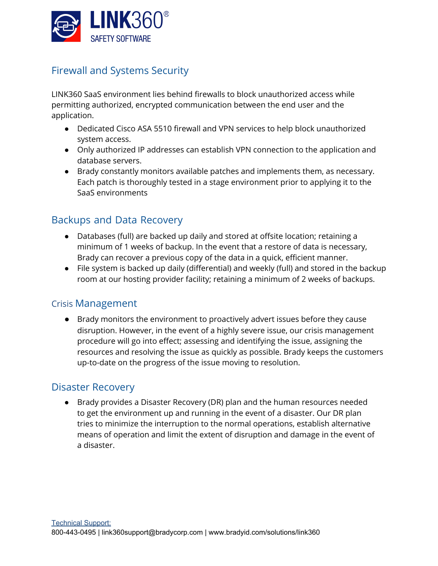

# Firewall and Systems Security

LINK360 SaaS environment lies behind firewalls to block unauthorized access while permitting authorized, encrypted communication between the end user and the application.

- Dedicated Cisco ASA 5510 firewall and VPN services to help block unauthorized system access.
- Only authorized IP addresses can establish VPN connection to the application and database servers.
- Brady constantly monitors available patches and implements them, as necessary. Each patch is thoroughly tested in a stage environment prior to applying it to the SaaS environments

## Backups and Data Recovery

- Databases (full) are backed up daily and stored at offsite location; retaining a minimum of 1 weeks of backup. In the event that a restore of data is necessary, Brady can recover a previous copy of the data in a quick, efficient manner.
- File system is backed up daily (differential) and weekly (full) and stored in the backup room at our hosting provider facility; retaining a minimum of 2 weeks of backups.

## Crisis Management

● Brady monitors the environment to proactively advert issues before they cause disruption. However, in the event of a highly severe issue, our crisis management procedure will go into effect; assessing and identifying the issue, assigning the resources and resolving the issue as quickly as possible. Brady keeps the customers up-to-date on the progress of the issue moving to resolution.

## Disaster Recovery

● Brady provides a Disaster Recovery (DR) plan and the human resources needed to get the environment up and running in the event of a disaster. Our DR plan tries to minimize the interruption to the normal operations, establish alternative means of operation and limit the extent of disruption and damage in the event of a disaster.